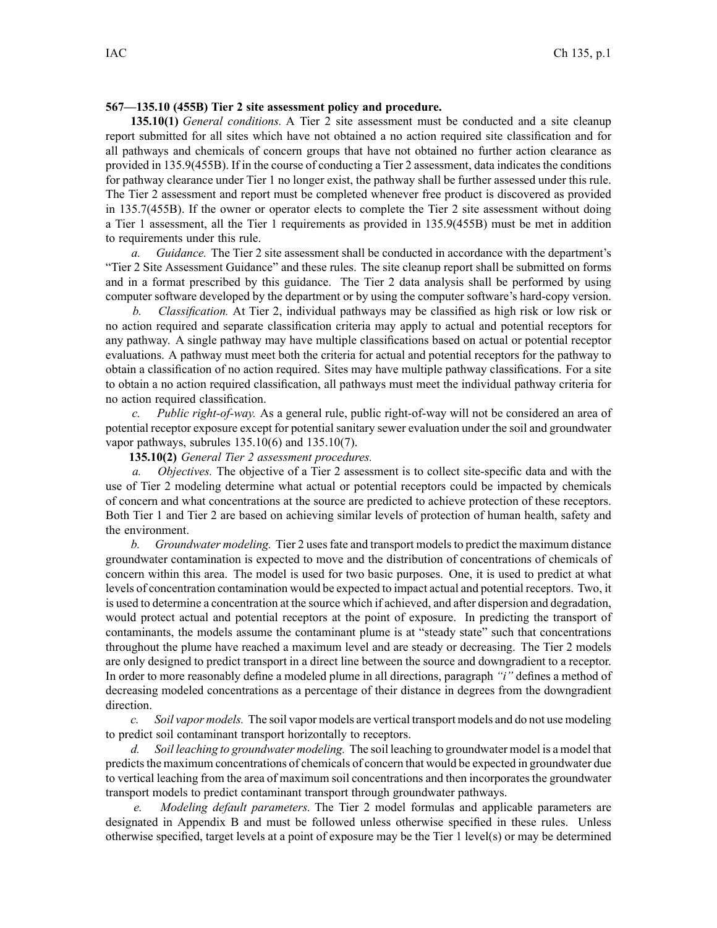### **567—135.10 (455B) Tier 2 site assessment policy and procedure.**

**135.10(1)** *General conditions.* A Tier 2 site assessment must be conducted and <sup>a</sup> site cleanup repor<sup>t</sup> submitted for all sites which have not obtained <sup>a</sup> no action required site classification and for all pathways and chemicals of concern groups that have not obtained no further action clearance as provided in 135.9(455B). If in the course of conducting <sup>a</sup> Tier 2 assessment, data indicates the conditions for pathway clearance under Tier 1 no longer exist, the pathway shall be further assessed under this rule. The Tier 2 assessment and repor<sup>t</sup> must be completed whenever free product is discovered as provided in 135.7(455B). If the owner or operator elects to complete the Tier 2 site assessment without doing <sup>a</sup> Tier 1 assessment, all the Tier 1 requirements as provided in 135.9(455B) must be met in addition to requirements under this rule.

*a. Guidance.* The Tier 2 site assessment shall be conducted in accordance with the department's "Tier 2 Site Assessment Guidance" and these rules. The site cleanup repor<sup>t</sup> shall be submitted on forms and in <sup>a</sup> format prescribed by this guidance. The Tier 2 data analysis shall be performed by using computer software developed by the department or by using the computer software's hard-copy version.

*b. Classification.* At Tier 2, individual pathways may be classified as high risk or low risk or no action required and separate classification criteria may apply to actual and potential receptors for any pathway. A single pathway may have multiple classifications based on actual or potential receptor evaluations. A pathway must meet both the criteria for actual and potential receptors for the pathway to obtain <sup>a</sup> classification of no action required. Sites may have multiple pathway classifications. For <sup>a</sup> site to obtain <sup>a</sup> no action required classification, all pathways must meet the individual pathway criteria for no action required classification.

*c. Public right-of-way.* As <sup>a</sup> general rule, public right-of-way will not be considered an area of potential receptor exposure excep<sup>t</sup> for potential sanitary sewer evaluation under the soil and groundwater vapor pathways, subrules 135.10(6) and 135.10(7).

**135.10(2)** *General Tier 2 assessment procedures.*

*a. Objectives.* The objective of <sup>a</sup> Tier 2 assessment is to collect site-specific data and with the use of Tier 2 modeling determine what actual or potential receptors could be impacted by chemicals of concern and what concentrations at the source are predicted to achieve protection of these receptors. Both Tier 1 and Tier 2 are based on achieving similar levels of protection of human health, safety and the environment.

*b. Groundwater modeling.* Tier 2 usesfate and transport modelsto predict the maximum distance groundwater contamination is expected to move and the distribution of concentrations of chemicals of concern within this area. The model is used for two basic purposes. One, it is used to predict at what levels of concentration contamination would be expected to impact actual and potential receptors. Two, it is used to determine <sup>a</sup> concentration at the source which if achieved, and after dispersion and degradation, would protect actual and potential receptors at the point of exposure. In predicting the transport of contaminants, the models assume the contaminant plume is at "steady state" such that concentrations throughout the plume have reached <sup>a</sup> maximum level and are steady or decreasing. The Tier 2 models are only designed to predict transport in <sup>a</sup> direct line between the source and downgradient to <sup>a</sup> receptor. In order to more reasonably define <sup>a</sup> modeled plume in all directions, paragraph *"i"* defines <sup>a</sup> method of decreasing modeled concentrations as <sup>a</sup> percentage of their distance in degrees from the downgradient direction.

*c. Soil vapor models.* The soil vapor models are vertical transport models and do not use modeling to predict soil contaminant transport horizontally to receptors.

*d. Soil leaching to groundwater modeling.* The soil leaching to groundwater model is <sup>a</sup> model that predictsthe maximum concentrations of chemicals of concern that would be expected in groundwater due to vertical leaching from the area of maximum soil concentrations and then incorporates the groundwater transport models to predict contaminant transport through groundwater pathways.

*e. Modeling default parameters.* The Tier 2 model formulas and applicable parameters are designated in Appendix B and must be followed unless otherwise specified in these rules. Unless otherwise specified, target levels at <sup>a</sup> point of exposure may be the Tier 1 level(s) or may be determined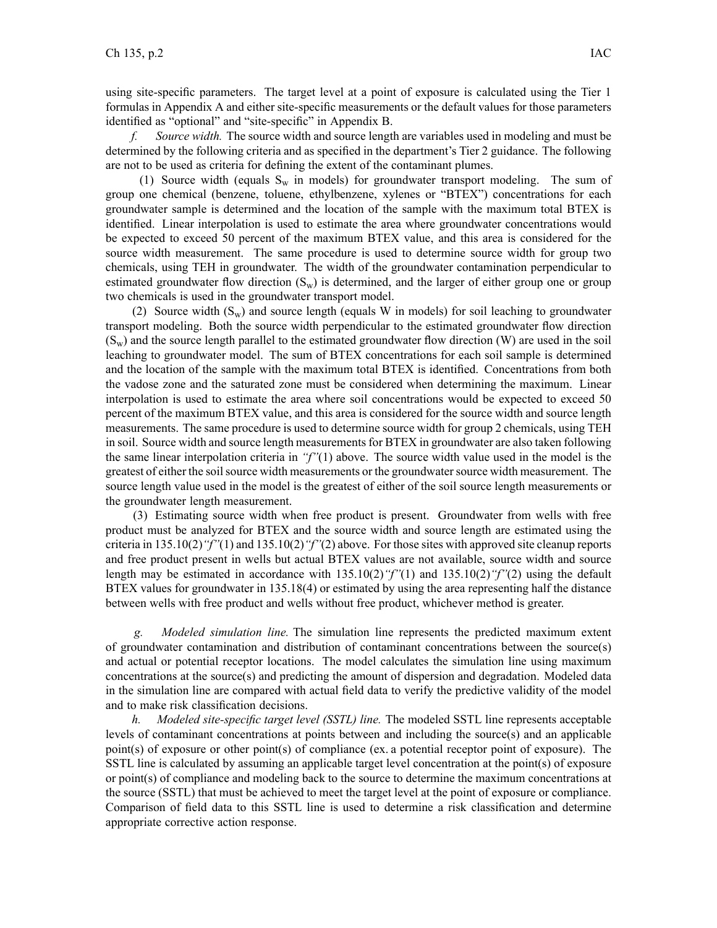using site-specific parameters. The target level at <sup>a</sup> point of exposure is calculated using the Tier 1 formulas in Appendix A and either site-specific measurements or the default values for those parameters identified as "optional" and "site-specific" in Appendix B.

*f. Source width.* The source width and source length are variables used in modeling and must be determined by the following criteria and as specified in the department's Tier 2 guidance. The following are not to be used as criteria for defining the extent of the contaminant plumes.

(1) Source width (equals  $S_w$  in models) for groundwater transport modeling. The sum of group one chemical (benzene, toluene, ethylbenzene, xylenes or "BTEX") concentrations for each groundwater sample is determined and the location of the sample with the maximum total BTEX is identified. Linear interpolation is used to estimate the area where groundwater concentrations would be expected to exceed 50 percen<sup>t</sup> of the maximum BTEX value, and this area is considered for the source width measurement. The same procedure is used to determine source width for group two chemicals, using TEH in groundwater. The width of the groundwater contamination perpendicular to estimated groundwater flow direction  $(S_w)$  is determined, and the larger of either group one or group two chemicals is used in the groundwater transport model.

(2) Source width  $(S_w)$  and source length (equals W in models) for soil leaching to groundwater transport modeling. Both the source width perpendicular to the estimated groundwater flow direction  $(S_w)$  and the source length parallel to the estimated groundwater flow direction  $(W)$  are used in the soil leaching to groundwater model. The sum of BTEX concentrations for each soil sample is determined and the location of the sample with the maximum total BTEX is identified. Concentrations from both the vadose zone and the saturated zone must be considered when determining the maximum. Linear interpolation is used to estimate the area where soil concentrations would be expected to exceed 50 percen<sup>t</sup> of the maximum BTEX value, and this area is considered for the source width and source length measurements. The same procedure is used to determine source width for group 2 chemicals, using TEH in soil. Source width and source length measurements for BTEX in groundwater are also taken following the same linear interpolation criteria in *"f"*(1) above. The source width value used in the model is the greatest of either the soilsource width measurements or the groundwatersource width measurement. The source length value used in the model is the greatest of either of the soil source length measurements or the groundwater length measurement.

(3) Estimating source width when free product is present. Groundwater from wells with free product must be analyzed for BTEX and the source width and source length are estimated using the criteria in 135.10(2)*"f"*(1) and 135.10(2)*"f"*(2) above. For those sites with approved site cleanup reports and free product presen<sup>t</sup> in wells but actual BTEX values are not available, source width and source length may be estimated in accordance with 135.10(2)*"f"*(1) and 135.10(2)*"f"*(2) using the default BTEX values for groundwater in 135.18(4) or estimated by using the area representing half the distance between wells with free product and wells without free product, whichever method is greater.

*g. Modeled simulation line.* The simulation line represents the predicted maximum extent of groundwater contamination and distribution of contaminant concentrations between the source(s) and actual or potential receptor locations. The model calculates the simulation line using maximum concentrations at the source(s) and predicting the amount of dispersion and degradation. Modeled data in the simulation line are compared with actual field data to verify the predictive validity of the model and to make risk classification decisions.

*h. Modeled site-specific target level (SSTL) line.* The modeled SSTL line represents acceptable levels of contaminant concentrations at points between and including the source(s) and an applicable point(s) of exposure or other point(s) of compliance (ex. <sup>a</sup> potential receptor point of exposure). The SSTL line is calculated by assuming an applicable target level concentration at the point(s) of exposure or point(s) of compliance and modeling back to the source to determine the maximum concentrations at the source (SSTL) that must be achieved to meet the target level at the point of exposure or compliance. Comparison of field data to this SSTL line is used to determine <sup>a</sup> risk classification and determine appropriate corrective action response.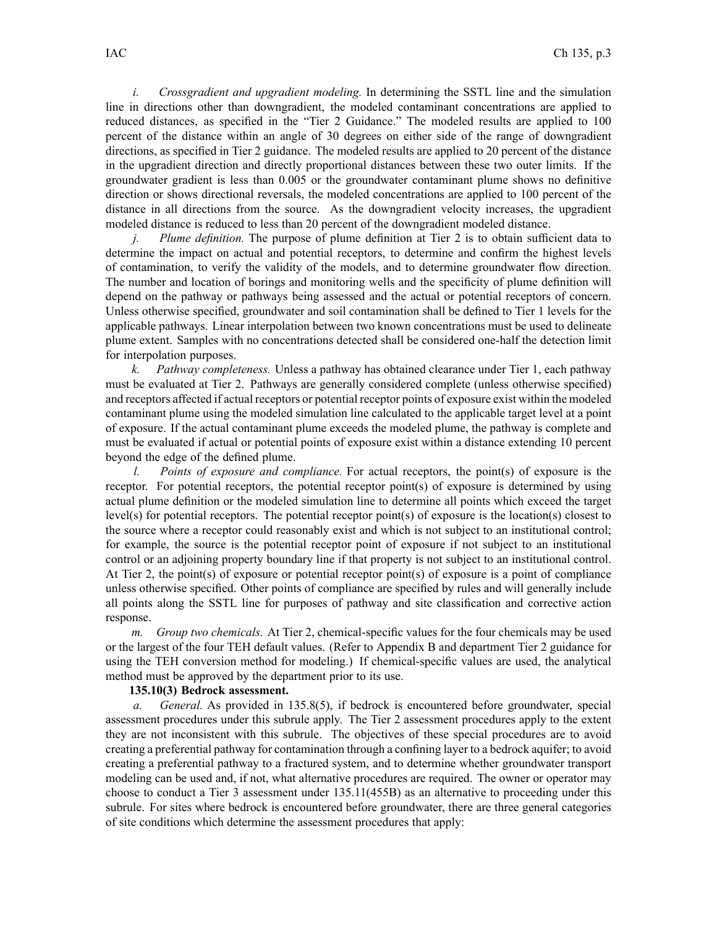*i. Crossgradient and upgradient modeling.* In determining the SSTL line and the simulation line in directions other than downgradient, the modeled contaminant concentrations are applied to reduced distances, as specified in the "Tier 2 Guidance." The modeled results are applied to 100 percen<sup>t</sup> of the distance within an angle of 30 degrees on either side of the range of downgradient directions, as specified in Tier 2 guidance. The modeled results are applied to 20 percen<sup>t</sup> of the distance in the upgradient direction and directly proportional distances between these two outer limits. If the groundwater gradient is less than 0.005 or the groundwater contaminant plume shows no definitive direction or shows directional reversals, the modeled concentrations are applied to 100 percen<sup>t</sup> of the distance in all directions from the source. As the downgradient velocity increases, the upgradient modeled distance is reduced to less than 20 percen<sup>t</sup> of the downgradient modeled distance.

*j. Plume definition.* The purpose of plume definition at Tier 2 is to obtain sufficient data to determine the impact on actual and potential receptors, to determine and confirm the highest levels of contamination, to verify the validity of the models, and to determine groundwater flow direction. The number and location of borings and monitoring wells and the specificity of plume definition will depend on the pathway or pathways being assessed and the actual or potential receptors of concern. Unless otherwise specified, groundwater and soil contamination shall be defined to Tier 1 levels for the applicable pathways. Linear interpolation between two known concentrations must be used to delineate plume extent. Samples with no concentrations detected shall be considered one-half the detection limit for interpolation purposes.

*k. Pathway completeness.* Unless <sup>a</sup> pathway has obtained clearance under Tier 1, each pathway must be evaluated at Tier 2. Pathways are generally considered complete (unless otherwise specified) and receptors affected if actual receptors or potential receptor points of exposure exist within the modeled contaminant plume using the modeled simulation line calculated to the applicable target level at <sup>a</sup> point of exposure. If the actual contaminant plume exceeds the modeled plume, the pathway is complete and must be evaluated if actual or potential points of exposure exist within <sup>a</sup> distance extending 10 percen<sup>t</sup> beyond the edge of the defined plume.

*l. Points of exposure and compliance.* For actual receptors, the point(s) of exposure is the receptor. For potential receptors, the potential receptor point(s) of exposure is determined by using actual plume definition or the modeled simulation line to determine all points which exceed the target level(s) for potential receptors. The potential receptor point(s) of exposure is the location(s) closest to the source where <sup>a</sup> receptor could reasonably exist and which is not subject to an institutional control; for example, the source is the potential receptor point of exposure if not subject to an institutional control or an adjoining property boundary line if that property is not subject to an institutional control. At Tier 2, the point(s) of exposure or potential receptor point(s) of exposure is <sup>a</sup> point of compliance unless otherwise specified. Other points of compliance are specified by rules and will generally include all points along the SSTL line for purposes of pathway and site classification and corrective action response.

*m. Group two chemicals.* At Tier 2, chemical-specific values for the four chemicals may be used or the largest of the four TEH default values. (Refer to Appendix B and department Tier 2 guidance for using the TEH conversion method for modeling.) If chemical-specific values are used, the analytical method must be approved by the department prior to its use.

#### **135.10(3) Bedrock assessment.**

*a. General.* As provided in 135.8(5), if bedrock is encountered before groundwater, special assessment procedures under this subrule apply. The Tier 2 assessment procedures apply to the extent they are not inconsistent with this subrule. The objectives of these special procedures are to avoid creating <sup>a</sup> preferential pathway for contamination through <sup>a</sup> confining layer to <sup>a</sup> bedrock aquifer; to avoid creating <sup>a</sup> preferential pathway to <sup>a</sup> fractured system, and to determine whether groundwater transport modeling can be used and, if not, what alternative procedures are required. The owner or operator may choose to conduct <sup>a</sup> Tier 3 assessment under 135.11(455B) as an alternative to proceeding under this subrule. For sites where bedrock is encountered before groundwater, there are three general categories of site conditions which determine the assessment procedures that apply: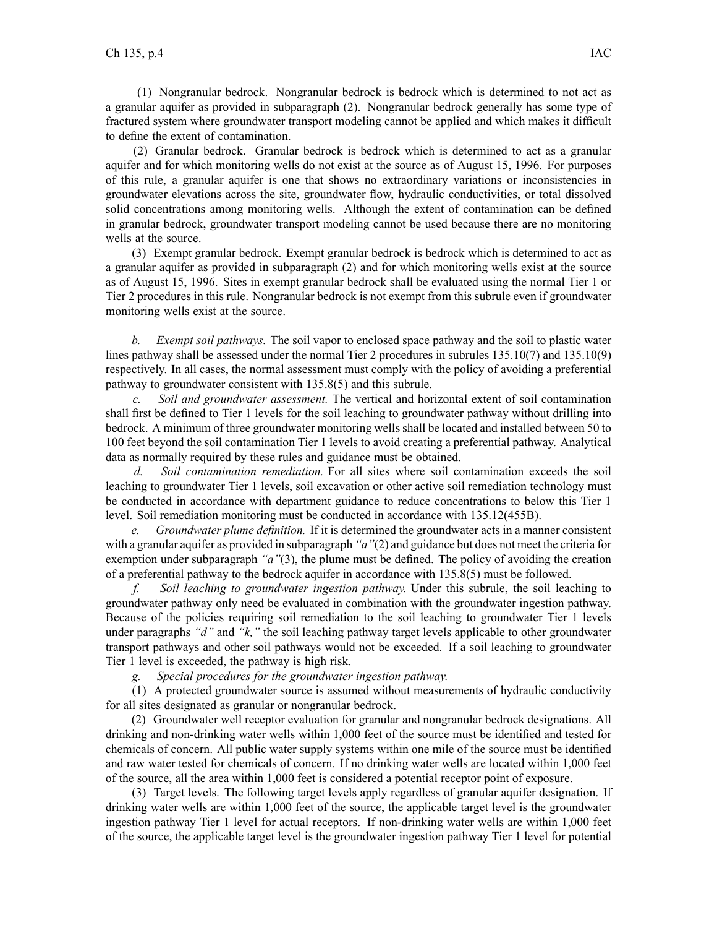(1) Nongranular bedrock. Nongranular bedrock is bedrock which is determined to not act as <sup>a</sup> granular aquifer as provided in subparagraph (2). Nongranular bedrock generally has some type of fractured system where groundwater transport modeling cannot be applied and which makes it difficult to define the extent of contamination.

(2) Granular bedrock. Granular bedrock is bedrock which is determined to act as <sup>a</sup> granular aquifer and for which monitoring wells do not exist at the source as of August 15, 1996. For purposes of this rule, <sup>a</sup> granular aquifer is one that shows no extraordinary variations or inconsistencies in groundwater elevations across the site, groundwater flow, hydraulic conductivities, or total dissolved solid concentrations among monitoring wells. Although the extent of contamination can be defined in granular bedrock, groundwater transport modeling cannot be used because there are no monitoring wells at the source.

(3) Exempt granular bedrock. Exempt granular bedrock is bedrock which is determined to act as <sup>a</sup> granular aquifer as provided in subparagraph (2) and for which monitoring wells exist at the source as of August 15, 1996. Sites in exemp<sup>t</sup> granular bedrock shall be evaluated using the normal Tier 1 or Tier 2 procedures in this rule. Nongranular bedrock is not exemp<sup>t</sup> from this subrule even if groundwater monitoring wells exist at the source.

*b. Exempt soil pathways.* The soil vapor to enclosed space pathway and the soil to plastic water lines pathway shall be assessed under the normal Tier 2 procedures in subrules 135.10(7) and 135.10(9) respectively. In all cases, the normal assessment must comply with the policy of avoiding <sup>a</sup> preferential pathway to groundwater consistent with 135.8(5) and this subrule.

*c. Soil and groundwater assessment.* The vertical and horizontal extent of soil contamination shall first be defined to Tier 1 levels for the soil leaching to groundwater pathway without drilling into bedrock. A minimum of three groundwater monitoring wells shall be located and installed between 50 to 100 feet beyond the soil contamination Tier 1 levels to avoid creating <sup>a</sup> preferential pathway. Analytical data as normally required by these rules and guidance must be obtained.

*d. Soil contamination remediation.* For all sites where soil contamination exceeds the soil leaching to groundwater Tier 1 levels, soil excavation or other active soil remediation technology must be conducted in accordance with department guidance to reduce concentrations to below this Tier 1 level. Soil remediation monitoring must be conducted in accordance with 135.12(455B).

*e. Groundwater plume definition.* If it is determined the groundwater acts in <sup>a</sup> manner consistent with <sup>a</sup> granular aquifer as provided in subparagraph *"a"*(2) and guidance but does not meet the criteria for exemption under subparagraph *"a"*(3), the plume must be defined. The policy of avoiding the creation of <sup>a</sup> preferential pathway to the bedrock aquifer in accordance with 135.8(5) must be followed.

*f. Soil leaching to groundwater ingestion pathway.* Under this subrule, the soil leaching to groundwater pathway only need be evaluated in combination with the groundwater ingestion pathway. Because of the policies requiring soil remediation to the soil leaching to groundwater Tier 1 levels under paragraphs *"d"* and *"k,"* the soil leaching pathway target levels applicable to other groundwater transport pathways and other soil pathways would not be exceeded. If <sup>a</sup> soil leaching to groundwater Tier 1 level is exceeded, the pathway is high risk.

*g. Special procedures for the groundwater ingestion pathway.*

(1) A protected groundwater source is assumed without measurements of hydraulic conductivity for all sites designated as granular or nongranular bedrock.

(2) Groundwater well receptor evaluation for granular and nongranular bedrock designations. All drinking and non-drinking water wells within 1,000 feet of the source must be identified and tested for chemicals of concern. All public water supply systems within one mile of the source must be identified and raw water tested for chemicals of concern. If no drinking water wells are located within 1,000 feet of the source, all the area within 1,000 feet is considered <sup>a</sup> potential receptor point of exposure.

(3) Target levels. The following target levels apply regardless of granular aquifer designation. If drinking water wells are within 1,000 feet of the source, the applicable target level is the groundwater ingestion pathway Tier 1 level for actual receptors. If non-drinking water wells are within 1,000 feet of the source, the applicable target level is the groundwater ingestion pathway Tier 1 level for potential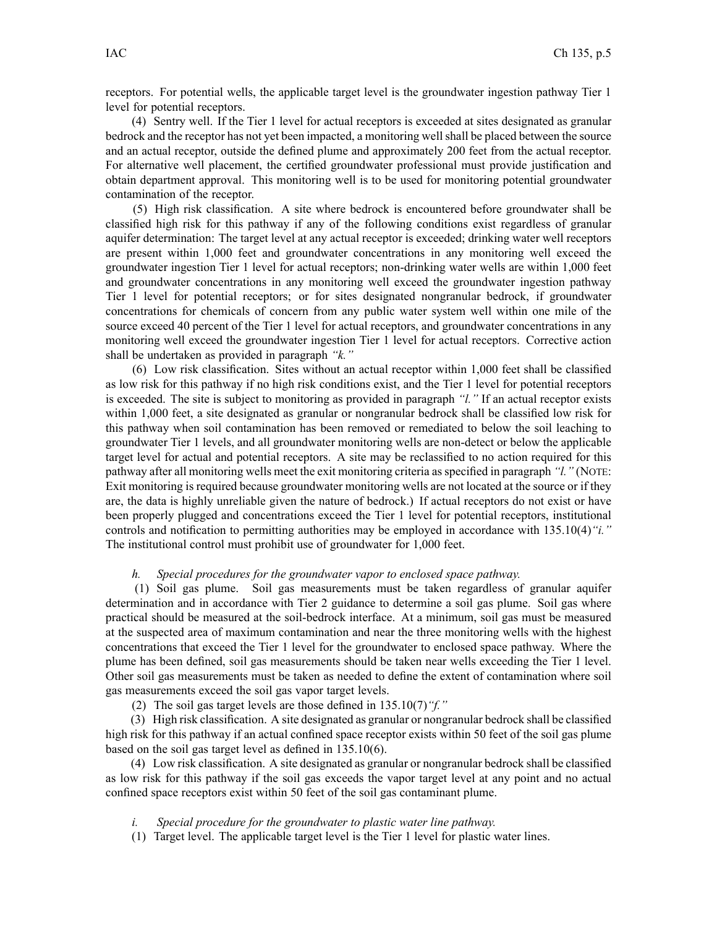receptors. For potential wells, the applicable target level is the groundwater ingestion pathway Tier 1 level for potential receptors.

(4) Sentry well. If the Tier 1 level for actual receptors is exceeded at sites designated as granular bedrock and the receptor has not ye<sup>t</sup> been impacted, <sup>a</sup> monitoring wellshall be placed between the source and an actual receptor, outside the defined plume and approximately 200 feet from the actual receptor. For alternative well placement, the certified groundwater professional must provide justification and obtain department approval. This monitoring well is to be used for monitoring potential groundwater contamination of the receptor.

(5) High risk classification. A site where bedrock is encountered before groundwater shall be classified high risk for this pathway if any of the following conditions exist regardless of granular aquifer determination: The target level at any actual receptor is exceeded; drinking water well receptors are presen<sup>t</sup> within 1,000 feet and groundwater concentrations in any monitoring well exceed the groundwater ingestion Tier 1 level for actual receptors; non-drinking water wells are within 1,000 feet and groundwater concentrations in any monitoring well exceed the groundwater ingestion pathway Tier 1 level for potential receptors; or for sites designated nongranular bedrock, if groundwater concentrations for chemicals of concern from any public water system well within one mile of the source exceed 40 percen<sup>t</sup> of the Tier 1 level for actual receptors, and groundwater concentrations in any monitoring well exceed the groundwater ingestion Tier 1 level for actual receptors. Corrective action shall be undertaken as provided in paragraph *"k."*

(6) Low risk classification. Sites without an actual receptor within 1,000 feet shall be classified as low risk for this pathway if no high risk conditions exist, and the Tier 1 level for potential receptors is exceeded. The site is subject to monitoring as provided in paragraph *"l."* If an actual receptor exists within 1,000 feet, <sup>a</sup> site designated as granular or nongranular bedrock shall be classified low risk for this pathway when soil contamination has been removed or remediated to below the soil leaching to groundwater Tier 1 levels, and all groundwater monitoring wells are non-detect or below the applicable target level for actual and potential receptors. A site may be reclassified to no action required for this pathway after all monitoring wells meet the exit monitoring criteria asspecified in paragraph *"l."* (NOTE: Exit monitoring is required because groundwater monitoring wells are not located at the source or if they are, the data is highly unreliable given the nature of bedrock.) If actual receptors do not exist or have been properly plugged and concentrations exceed the Tier 1 level for potential receptors, institutional controls and notification to permitting authorities may be employed in accordance with 135.10(4)*"i."* The institutional control must prohibit use of groundwater for 1,000 feet.

# *h. Special procedures for the groundwater vapor to enclosed space pathway.*

(1) Soil gas plume. Soil gas measurements must be taken regardless of granular aquifer determination and in accordance with Tier 2 guidance to determine <sup>a</sup> soil gas plume. Soil gas where practical should be measured at the soil-bedrock interface. At <sup>a</sup> minimum, soil gas must be measured at the suspected area of maximum contamination and near the three monitoring wells with the highest concentrations that exceed the Tier 1 level for the groundwater to enclosed space pathway. Where the plume has been defined, soil gas measurements should be taken near wells exceeding the Tier 1 level. Other soil gas measurements must be taken as needed to define the extent of contamination where soil gas measurements exceed the soil gas vapor target levels.

(2) The soil gas target levels are those defined in 135.10(7)*"f."*

(3) High risk classification. A site designated as granular or nongranular bedrock shall be classified high risk for this pathway if an actual confined space receptor exists within 50 feet of the soil gas plume based on the soil gas target level as defined in 135.10(6).

(4) Low risk classification. Asite designated as granular or nongranular bedrock shall be classified as low risk for this pathway if the soil gas exceeds the vapor target level at any point and no actual confined space receptors exist within 50 feet of the soil gas contaminant plume.

- *i. Special procedure for the groundwater to plastic water line pathway.*
- (1) Target level. The applicable target level is the Tier 1 level for plastic water lines.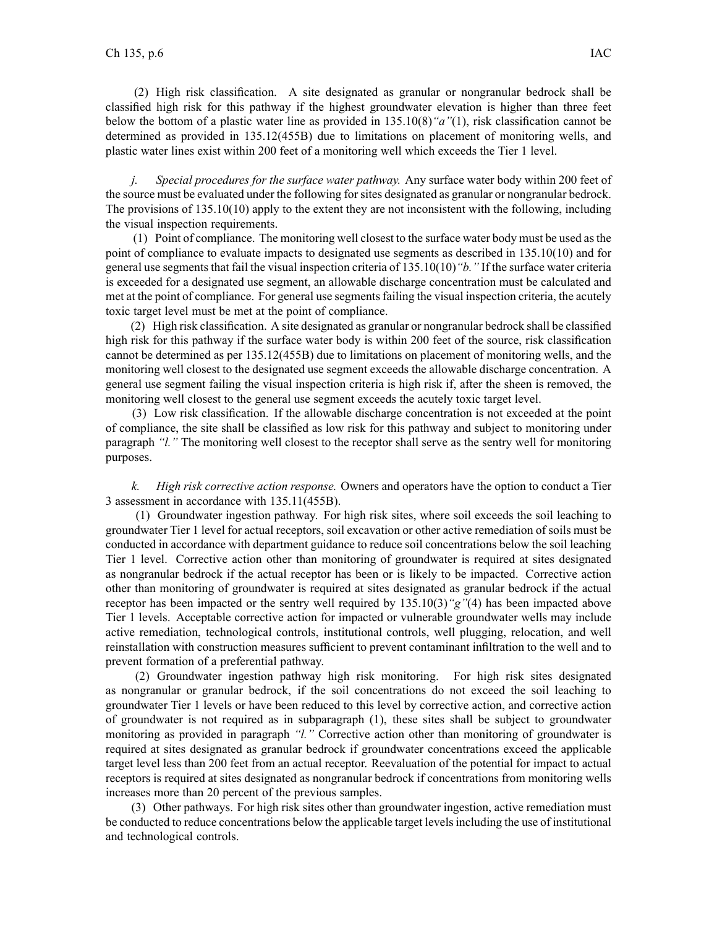(2) High risk classification. A site designated as granular or nongranular bedrock shall be classified high risk for this pathway if the highest groundwater elevation is higher than three feet below the bottom of <sup>a</sup> plastic water line as provided in 135.10(8)*"a"*(1), risk classification cannot be determined as provided in 135.12(455B) due to limitations on placement of monitoring wells, and plastic water lines exist within 200 feet of <sup>a</sup> monitoring well which exceeds the Tier 1 level.

*j. Special procedures for the surface water pathway.* Any surface water body within 200 feet of the source must be evaluated under the following forsites designated as granular or nongranular bedrock. The provisions of 135.10(10) apply to the extent they are not inconsistent with the following, including the visual inspection requirements.

(1) Point of compliance. The monitoring well closest to the surface water body must be used asthe point of compliance to evaluate impacts to designated use segments as described in 135.10(10) and for general use segments that fail the visual inspection criteria of 135.10(10)*"b."* If the surface water criteria is exceeded for <sup>a</sup> designated use segment, an allowable discharge concentration must be calculated and met at the point of compliance. For general use segments failing the visual inspection criteria, the acutely toxic target level must be met at the point of compliance.

(2) High risk classification. A site designated as granular or nongranular bedrock shall be classified high risk for this pathway if the surface water body is within 200 feet of the source, risk classification cannot be determined as per 135.12(455B) due to limitations on placement of monitoring wells, and the monitoring well closest to the designated use segmen<sup>t</sup> exceeds the allowable discharge concentration. A general use segmen<sup>t</sup> failing the visual inspection criteria is high risk if, after the sheen is removed, the monitoring well closest to the general use segmen<sup>t</sup> exceeds the acutely toxic target level.

(3) Low risk classification. If the allowable discharge concentration is not exceeded at the point of compliance, the site shall be classified as low risk for this pathway and subject to monitoring under paragraph *"l."* The monitoring well closest to the receptor shall serve as the sentry well for monitoring purposes.

*k. High risk corrective action response.* Owners and operators have the option to conduct <sup>a</sup> Tier 3 assessment in accordance with 135.11(455B).

(1) Groundwater ingestion pathway. For high risk sites, where soil exceeds the soil leaching to groundwater Tier 1 level for actual receptors, soil excavation or other active remediation of soils must be conducted in accordance with department guidance to reduce soil concentrations below the soil leaching Tier 1 level. Corrective action other than monitoring of groundwater is required at sites designated as nongranular bedrock if the actual receptor has been or is likely to be impacted. Corrective action other than monitoring of groundwater is required at sites designated as granular bedrock if the actual receptor has been impacted or the sentry well required by 135.10(3)*"g"*(4) has been impacted above Tier 1 levels. Acceptable corrective action for impacted or vulnerable groundwater wells may include active remediation, technological controls, institutional controls, well plugging, relocation, and well reinstallation with construction measures sufficient to preven<sup>t</sup> contaminant infiltration to the well and to preven<sup>t</sup> formation of <sup>a</sup> preferential pathway.

(2) Groundwater ingestion pathway high risk monitoring. For high risk sites designated as nongranular or granular bedrock, if the soil concentrations do not exceed the soil leaching to groundwater Tier 1 levels or have been reduced to this level by corrective action, and corrective action of groundwater is not required as in subparagraph (1), these sites shall be subject to groundwater monitoring as provided in paragraph *"l."* Corrective action other than monitoring of groundwater is required at sites designated as granular bedrock if groundwater concentrations exceed the applicable target level less than 200 feet from an actual receptor. Reevaluation of the potential for impact to actual receptors is required at sites designated as nongranular bedrock if concentrations from monitoring wells increases more than 20 percen<sup>t</sup> of the previous samples.

(3) Other pathways. For high risk sites other than groundwater ingestion, active remediation must be conducted to reduce concentrations below the applicable target levelsincluding the use of institutional and technological controls.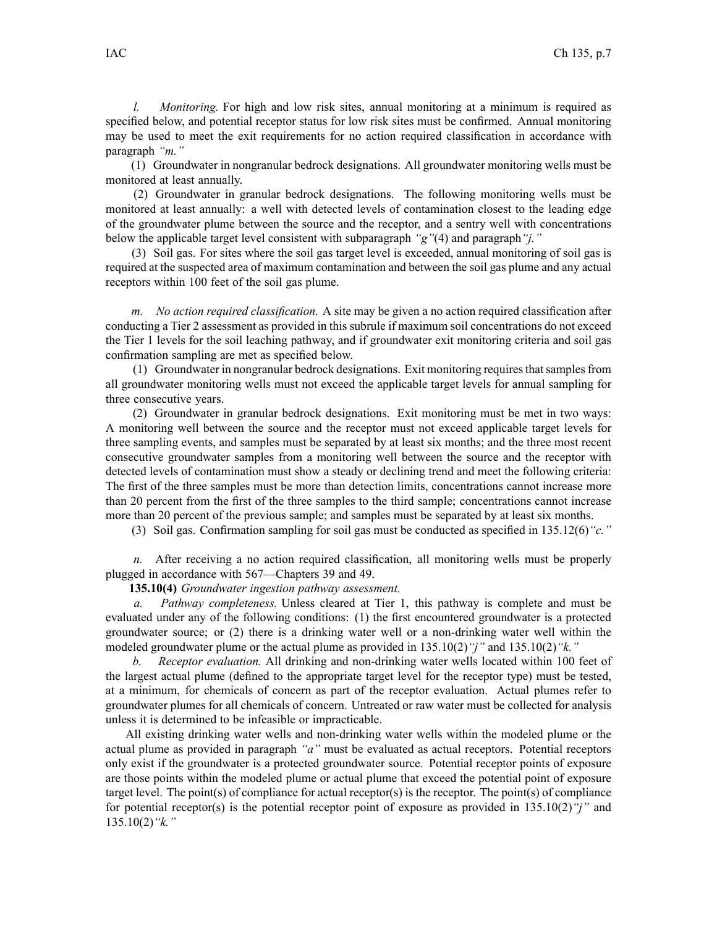*l. Monitoring.* For high and low risk sites, annual monitoring at <sup>a</sup> minimum is required as specified below, and potential receptor status for low risk sites must be confirmed. Annual monitoring may be used to meet the exit requirements for no action required classification in accordance with paragraph *"m."*

(1) Groundwater in nongranular bedrock designations. All groundwater monitoring wells must be monitored at least annually.

(2) Groundwater in granular bedrock designations. The following monitoring wells must be monitored at least annually: <sup>a</sup> well with detected levels of contamination closest to the leading edge of the groundwater plume between the source and the receptor, and <sup>a</sup> sentry well with concentrations below the applicable target level consistent with subparagraph *"g"*(4) and paragraph*"j."*

(3) Soil gas. For sites where the soil gas target level is exceeded, annual monitoring of soil gas is required at the suspected area of maximum contamination and between the soil gas plume and any actual receptors within 100 feet of the soil gas plume.

*m. No action required classification.* A site may be given <sup>a</sup> no action required classification after conducting <sup>a</sup> Tier 2 assessment as provided in this subrule if maximum soil concentrations do not exceed the Tier 1 levels for the soil leaching pathway, and if groundwater exit monitoring criteria and soil gas confirmation sampling are met as specified below.

(1) Groundwater in nongranular bedrock designations. Exit monitoring requiresthatsamplesfrom all groundwater monitoring wells must not exceed the applicable target levels for annual sampling for three consecutive years.

(2) Groundwater in granular bedrock designations. Exit monitoring must be met in two ways: A monitoring well between the source and the receptor must not exceed applicable target levels for three sampling events, and samples must be separated by at least six months; and the three most recent consecutive groundwater samples from <sup>a</sup> monitoring well between the source and the receptor with detected levels of contamination must show <sup>a</sup> steady or declining trend and meet the following criteria: The first of the three samples must be more than detection limits, concentrations cannot increase more than 20 percen<sup>t</sup> from the first of the three samples to the third sample; concentrations cannot increase more than 20 percen<sup>t</sup> of the previous sample; and samples must be separated by at least six months.

(3) Soil gas. Confirmation sampling for soil gas must be conducted as specified in 135.12(6)*"c."*

*n.* After receiving <sup>a</sup> no action required classification, all monitoring wells must be properly plugged in accordance with 567—Chapters 39 and 49.

**135.10(4)** *Groundwater ingestion pathway assessment.*

*a. Pathway completeness.* Unless cleared at Tier 1, this pathway is complete and must be evaluated under any of the following conditions: (1) the first encountered groundwater is <sup>a</sup> protected groundwater source; or (2) there is <sup>a</sup> drinking water well or <sup>a</sup> non-drinking water well within the modeled groundwater plume or the actual plume as provided in 135.10(2)*"j"* and 135.10(2)*"k."*

*b. Receptor evaluation.* All drinking and non-drinking water wells located within 100 feet of the largest actual plume (defined to the appropriate target level for the receptor type) must be tested, at <sup>a</sup> minimum, for chemicals of concern as par<sup>t</sup> of the receptor evaluation. Actual plumes refer to groundwater plumes for all chemicals of concern. Untreated or raw water must be collected for analysis unless it is determined to be infeasible or impracticable.

All existing drinking water wells and non-drinking water wells within the modeled plume or the actual plume as provided in paragraph *"a"* must be evaluated as actual receptors. Potential receptors only exist if the groundwater is <sup>a</sup> protected groundwater source. Potential receptor points of exposure are those points within the modeled plume or actual plume that exceed the potential point of exposure target level. The point(s) of compliance for actual receptor(s) is the receptor. The point(s) of compliance for potential receptor(s) is the potential receptor point of exposure as provided in 135.10(2)*"j"* and 135.10(2)*"k."*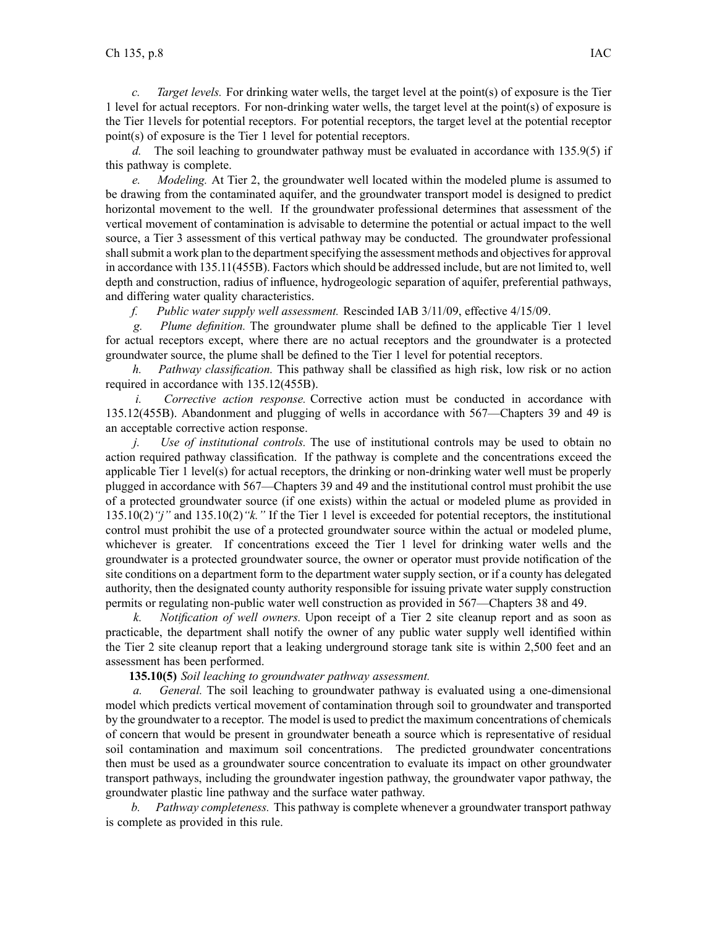*Target levels.* For drinking water wells, the target level at the point(s) of exposure is the Tier 1 level for actual receptors. For non-drinking water wells, the target level at the point(s) of exposure is the Tier 1levels for potential receptors. For potential receptors, the target level at the potential receptor point(s) of exposure is the Tier 1 level for potential receptors.

*d.* The soil leaching to groundwater pathway must be evaluated in accordance with 135.9(5) if this pathway is complete.

*e. Modeling.* At Tier 2, the groundwater well located within the modeled plume is assumed to be drawing from the contaminated aquifer, and the groundwater transport model is designed to predict horizontal movement to the well. If the groundwater professional determines that assessment of the vertical movement of contamination is advisable to determine the potential or actual impact to the well source, <sup>a</sup> Tier 3 assessment of this vertical pathway may be conducted. The groundwater professional shall submit a work plan to the department specifying the assessment methods and objectives for approval in accordance with 135.11(455B). Factors which should be addressed include, but are not limited to, well depth and construction, radius of influence, hydrogeologic separation of aquifer, preferential pathways, and differing water quality characteristics.

*f. Public water supply well assessment.* Rescinded IAB 3/11/09, effective 4/15/09.

*g. Plume definition.* The groundwater plume shall be defined to the applicable Tier 1 level for actual receptors except, where there are no actual receptors and the groundwater is <sup>a</sup> protected groundwater source, the plume shall be defined to the Tier 1 level for potential receptors.

*h. Pathway classification.* This pathway shall be classified as high risk, low risk or no action required in accordance with 135.12(455B).

*i. Corrective action response.* Corrective action must be conducted in accordance with 135.12(455B). Abandonment and plugging of wells in accordance with 567—Chapters 39 and 49 is an acceptable corrective action response.

*j. Use of institutional controls.* The use of institutional controls may be used to obtain no action required pathway classification. If the pathway is complete and the concentrations exceed the applicable Tier 1 level(s) for actual receptors, the drinking or non-drinking water well must be properly plugged in accordance with 567—Chapters 39 and 49 and the institutional control must prohibit the use of <sup>a</sup> protected groundwater source (if one exists) within the actual or modeled plume as provided in 135.10(2)*"j"* and 135.10(2)*"k."* If the Tier 1 level is exceeded for potential receptors, the institutional control must prohibit the use of <sup>a</sup> protected groundwater source within the actual or modeled plume, whichever is greater. If concentrations exceed the Tier 1 level for drinking water wells and the groundwater is <sup>a</sup> protected groundwater source, the owner or operator must provide notification of the site conditions on <sup>a</sup> department form to the department water supply section, or if <sup>a</sup> county has delegated authority, then the designated county authority responsible for issuing private water supply construction permits or regulating non-public water well construction as provided in 567—Chapters 38 and 49.

*k. Notification of well owners.* Upon receipt of <sup>a</sup> Tier 2 site cleanup repor<sup>t</sup> and as soon as practicable, the department shall notify the owner of any public water supply well identified within the Tier 2 site cleanup repor<sup>t</sup> that <sup>a</sup> leaking underground storage tank site is within 2,500 feet and an assessment has been performed.

# **135.10(5)** *Soil leaching to groundwater pathway assessment.*

*a. General.* The soil leaching to groundwater pathway is evaluated using <sup>a</sup> one-dimensional model which predicts vertical movement of contamination through soil to groundwater and transported by the groundwater to <sup>a</sup> receptor. The model is used to predict the maximum concentrations of chemicals of concern that would be presen<sup>t</sup> in groundwater beneath <sup>a</sup> source which is representative of residual soil contamination and maximum soil concentrations. The predicted groundwater concentrations then must be used as <sup>a</sup> groundwater source concentration to evaluate its impact on other groundwater transport pathways, including the groundwater ingestion pathway, the groundwater vapor pathway, the groundwater plastic line pathway and the surface water pathway.

*b. Pathway completeness.* This pathway is complete whenever <sup>a</sup> groundwater transport pathway is complete as provided in this rule.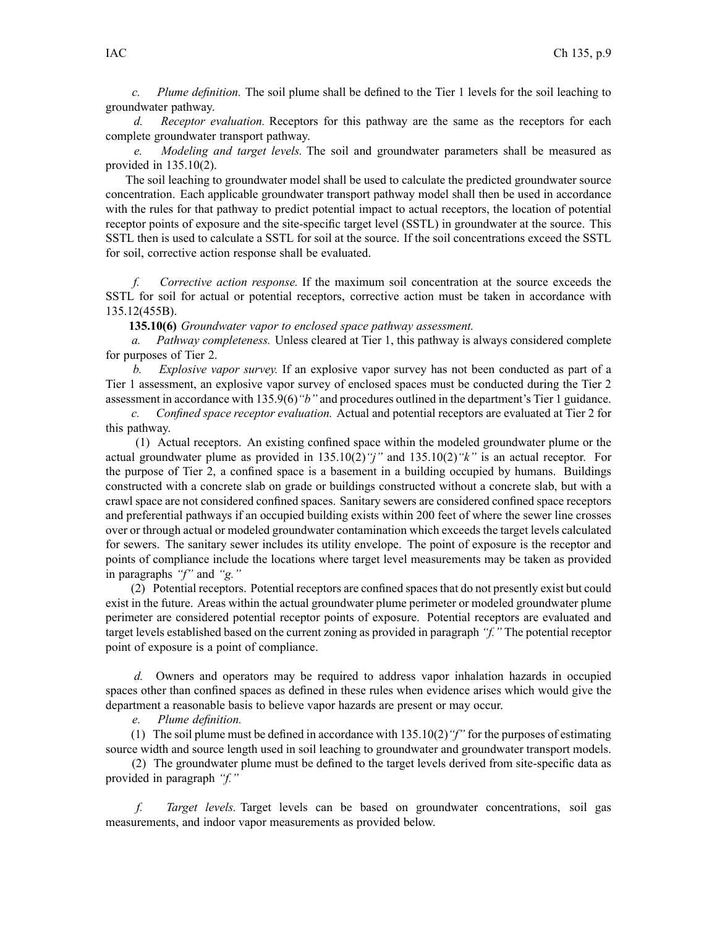*c. Plume definition.* The soil plume shall be defined to the Tier 1 levels for the soil leaching to groundwater pathway.

*d. Receptor evaluation.* Receptors for this pathway are the same as the receptors for each complete groundwater transport pathway.

*e. Modeling and target levels.* The soil and groundwater parameters shall be measured as provided in 135.10(2).

The soil leaching to groundwater model shall be used to calculate the predicted groundwater source concentration. Each applicable groundwater transport pathway model shall then be used in accordance with the rules for that pathway to predict potential impact to actual receptors, the location of potential receptor points of exposure and the site-specific target level (SSTL) in groundwater at the source. This SSTL then is used to calculate <sup>a</sup> SSTL for soil at the source. If the soil concentrations exceed the SSTL for soil, corrective action response shall be evaluated.

*f. Corrective action response.* If the maximum soil concentration at the source exceeds the SSTL for soil for actual or potential receptors, corrective action must be taken in accordance with 135.12(455B).

**135.10(6)** *Groundwater vapor to enclosed space pathway assessment.*

*a. Pathway completeness.* Unless cleared at Tier 1, this pathway is always considered complete for purposes of Tier 2.

*b. Explosive vapor survey.* If an explosive vapor survey has not been conducted as par<sup>t</sup> of <sup>a</sup> Tier 1 assessment, an explosive vapor survey of enclosed spaces must be conducted during the Tier 2 assessment in accordance with 135.9(6)*"b"* and procedures outlined in the department's Tier 1 guidance.

*c. Confined space receptor evaluation.* Actual and potential receptors are evaluated at Tier 2 for this pathway.

(1) Actual receptors. An existing confined space within the modeled groundwater plume or the actual groundwater plume as provided in 135.10(2)*"j"* and 135.10(2)*"k"* is an actual receptor. For the purpose of Tier 2, <sup>a</sup> confined space is <sup>a</sup> basement in <sup>a</sup> building occupied by humans. Buildings constructed with <sup>a</sup> concrete slab on grade or buildings constructed without <sup>a</sup> concrete slab, but with <sup>a</sup> crawl space are not considered confined spaces. Sanitary sewers are considered confined space receptors and preferential pathways if an occupied building exists within 200 feet of where the sewer line crosses over or through actual or modeled groundwater contamination which exceeds the target levels calculated for sewers. The sanitary sewer includes its utility envelope. The point of exposure is the receptor and points of compliance include the locations where target level measurements may be taken as provided in paragraphs *"f"* and *"g."*

(2) Potential receptors. Potential receptors are confined spacesthat do not presently exist but could exist in the future. Areas within the actual groundwater plume perimeter or modeled groundwater plume perimeter are considered potential receptor points of exposure. Potential receptors are evaluated and target levels established based on the current zoning as provided in paragraph *"f."* The potential receptor point of exposure is <sup>a</sup> point of compliance.

*d.* Owners and operators may be required to address vapor inhalation hazards in occupied spaces other than confined spaces as defined in these rules when evidence arises which would give the department <sup>a</sup> reasonable basis to believe vapor hazards are presen<sup>t</sup> or may occur.

*e. Plume definition.*

(1) The soil plume must be defined in accordance with 135.10(2)*"f"* for the purposes of estimating source width and source length used in soil leaching to groundwater and groundwater transport models.

(2) The groundwater plume must be defined to the target levels derived from site-specific data as provided in paragraph *"f."*

*f. Target levels.* Target levels can be based on groundwater concentrations, soil gas measurements, and indoor vapor measurements as provided below.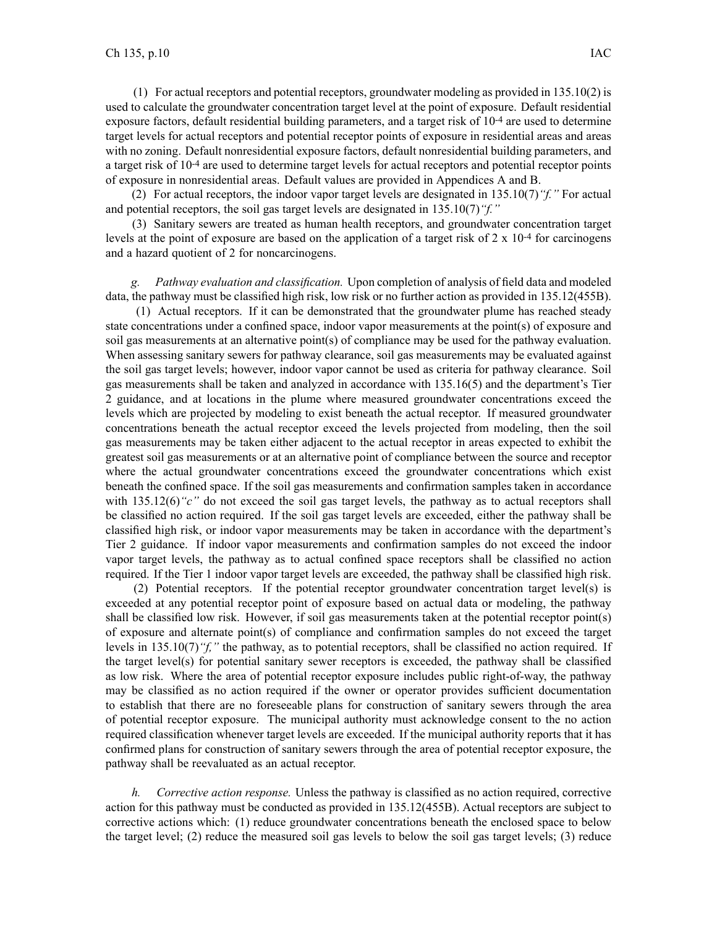(1) For actual receptors and potential receptors, groundwater modeling as provided in 135.10(2) is used to calculate the groundwater concentration target level at the point of exposure. Default residential exposure factors, default residential building parameters, and a target risk of 10<sup>-4</sup> are used to determine target levels for actual receptors and potential receptor points of exposure in residential areas and areas with no zoning. Default nonresidential exposure factors, default nonresidential building parameters, and <sup>a</sup> target risk of 10-4 are used to determine target levels for actual receptors and potential receptor points of exposure in nonresidential areas. Default values are provided in Appendices A and B.

(2) For actual receptors, the indoor vapor target levels are designated in 135.10(7)*"f."* For actual and potential receptors, the soil gas target levels are designated in 135.10(7)*"f."*

(3) Sanitary sewers are treated as human health receptors, and groundwater concentration target levels at the point of exposure are based on the application of a target risk of  $2 \times 10^{-4}$  for carcinogens and <sup>a</sup> hazard quotient of 2 for noncarcinogens.

*g. Pathway evaluation and classification.* Upon completion of analysis of field data and modeled data, the pathway must be classified high risk, low risk or no further action as provided in 135.12(455B).

(1) Actual receptors. If it can be demonstrated that the groundwater plume has reached steady state concentrations under <sup>a</sup> confined space, indoor vapor measurements at the point(s) of exposure and soil gas measurements at an alternative point(s) of compliance may be used for the pathway evaluation. When assessing sanitary sewers for pathway clearance, soil gas measurements may be evaluated against the soil gas target levels; however, indoor vapor cannot be used as criteria for pathway clearance. Soil gas measurements shall be taken and analyzed in accordance with 135.16(5) and the department's Tier 2 guidance, and at locations in the plume where measured groundwater concentrations exceed the levels which are projected by modeling to exist beneath the actual receptor. If measured groundwater concentrations beneath the actual receptor exceed the levels projected from modeling, then the soil gas measurements may be taken either adjacent to the actual receptor in areas expected to exhibit the greatest soil gas measurements or at an alternative point of compliance between the source and receptor where the actual groundwater concentrations exceed the groundwater concentrations which exist beneath the confined space. If the soil gas measurements and confirmation samples taken in accordance with 135.12(6)*"c"* do not exceed the soil gas target levels, the pathway as to actual receptors shall be classified no action required. If the soil gas target levels are exceeded, either the pathway shall be classified high risk, or indoor vapor measurements may be taken in accordance with the department's Tier 2 guidance. If indoor vapor measurements and confirmation samples do not exceed the indoor vapor target levels, the pathway as to actual confined space receptors shall be classified no action required. If the Tier 1 indoor vapor target levels are exceeded, the pathway shall be classified high risk.

(2) Potential receptors. If the potential receptor groundwater concentration target level(s) is exceeded at any potential receptor point of exposure based on actual data or modeling, the pathway shall be classified low risk. However, if soil gas measurements taken at the potential receptor point(s) of exposure and alternate point(s) of compliance and confirmation samples do not exceed the target levels in 135.10(7)*"f,"* the pathway, as to potential receptors, shall be classified no action required. If the target level(s) for potential sanitary sewer receptors is exceeded, the pathway shall be classified as low risk. Where the area of potential receptor exposure includes public right-of-way, the pathway may be classified as no action required if the owner or operator provides sufficient documentation to establish that there are no foreseeable plans for construction of sanitary sewers through the area of potential receptor exposure. The municipal authority must acknowledge consent to the no action required classification whenever target levels are exceeded. If the municipal authority reports that it has confirmed plans for construction of sanitary sewers through the area of potential receptor exposure, the pathway shall be reevaluated as an actual receptor.

*h. Corrective action response.* Unless the pathway is classified as no action required, corrective action for this pathway must be conducted as provided in 135.12(455B). Actual receptors are subject to corrective actions which: (1) reduce groundwater concentrations beneath the enclosed space to below the target level; (2) reduce the measured soil gas levels to below the soil gas target levels; (3) reduce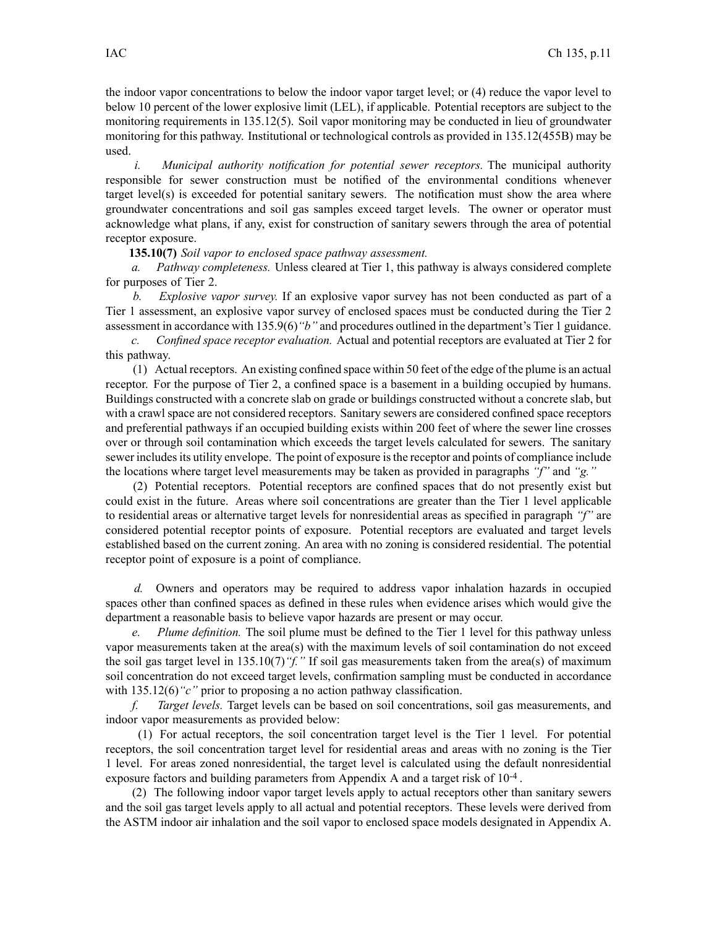the indoor vapor concentrations to below the indoor vapor target level; or (4) reduce the vapor level to below 10 percen<sup>t</sup> of the lower explosive limit (LEL), if applicable. Potential receptors are subject to the monitoring requirements in 135.12(5). Soil vapor monitoring may be conducted in lieu of groundwater monitoring for this pathway. Institutional or technological controls as provided in 135.12(455B) may be used.

*i. Municipal authority notification for potential sewer receptors.* The municipal authority responsible for sewer construction must be notified of the environmental conditions whenever target level(s) is exceeded for potential sanitary sewers. The notification must show the area where groundwater concentrations and soil gas samples exceed target levels. The owner or operator must acknowledge what plans, if any, exist for construction of sanitary sewers through the area of potential receptor exposure.

**135.10(7)** *Soil vapor to enclosed space pathway assessment.*

*a. Pathway completeness.* Unless cleared at Tier 1, this pathway is always considered complete for purposes of Tier 2.

*b. Explosive vapor survey.* If an explosive vapor survey has not been conducted as par<sup>t</sup> of <sup>a</sup> Tier 1 assessment, an explosive vapor survey of enclosed spaces must be conducted during the Tier 2 assessment in accordance with 135.9(6)*"b"* and procedures outlined in the department's Tier 1 guidance.

*c. Confined space receptor evaluation.* Actual and potential receptors are evaluated at Tier 2 for this pathway.

(1) Actual receptors. An existing confined space within 50 feet of the edge of the plume is an actual receptor. For the purpose of Tier 2, <sup>a</sup> confined space is <sup>a</sup> basement in <sup>a</sup> building occupied by humans. Buildings constructed with <sup>a</sup> concrete slab on grade or buildings constructed without <sup>a</sup> concrete slab, but with <sup>a</sup> crawl space are not considered receptors. Sanitary sewers are considered confined space receptors and preferential pathways if an occupied building exists within 200 feet of where the sewer line crosses over or through soil contamination which exceeds the target levels calculated for sewers. The sanitary sewer includesits utility envelope. The point of exposure isthe receptor and points of compliance include the locations where target level measurements may be taken as provided in paragraphs *"f"* and *"g."*

(2) Potential receptors. Potential receptors are confined spaces that do not presently exist but could exist in the future. Areas where soil concentrations are greater than the Tier 1 level applicable to residential areas or alternative target levels for nonresidential areas as specified in paragraph *"f"* are considered potential receptor points of exposure. Potential receptors are evaluated and target levels established based on the current zoning. An area with no zoning is considered residential. The potential receptor point of exposure is <sup>a</sup> point of compliance.

*d.* Owners and operators may be required to address vapor inhalation hazards in occupied spaces other than confined spaces as defined in these rules when evidence arises which would give the department <sup>a</sup> reasonable basis to believe vapor hazards are presen<sup>t</sup> or may occur.

*e. Plume definition.* The soil plume must be defined to the Tier 1 level for this pathway unless vapor measurements taken at the area(s) with the maximum levels of soil contamination do not exceed the soil gas target level in 135.10(7)*"f."* If soil gas measurements taken from the area(s) of maximum soil concentration do not exceed target levels, confirmation sampling must be conducted in accordance with  $135.12(6)$  "c" prior to proposing a no action pathway classification.

*f. Target levels.* Target levels can be based on soil concentrations, soil gas measurements, and indoor vapor measurements as provided below:

(1) For actual receptors, the soil concentration target level is the Tier 1 level. For potential receptors, the soil concentration target level for residential areas and areas with no zoning is the Tier 1 level. For areas zoned nonresidential, the target level is calculated using the default nonresidential exposure factors and building parameters from Appendix A and <sup>a</sup> target risk of 10-4 .

(2) The following indoor vapor target levels apply to actual receptors other than sanitary sewers and the soil gas target levels apply to all actual and potential receptors. These levels were derived from the ASTM indoor air inhalation and the soil vapor to enclosed space models designated in Appendix A.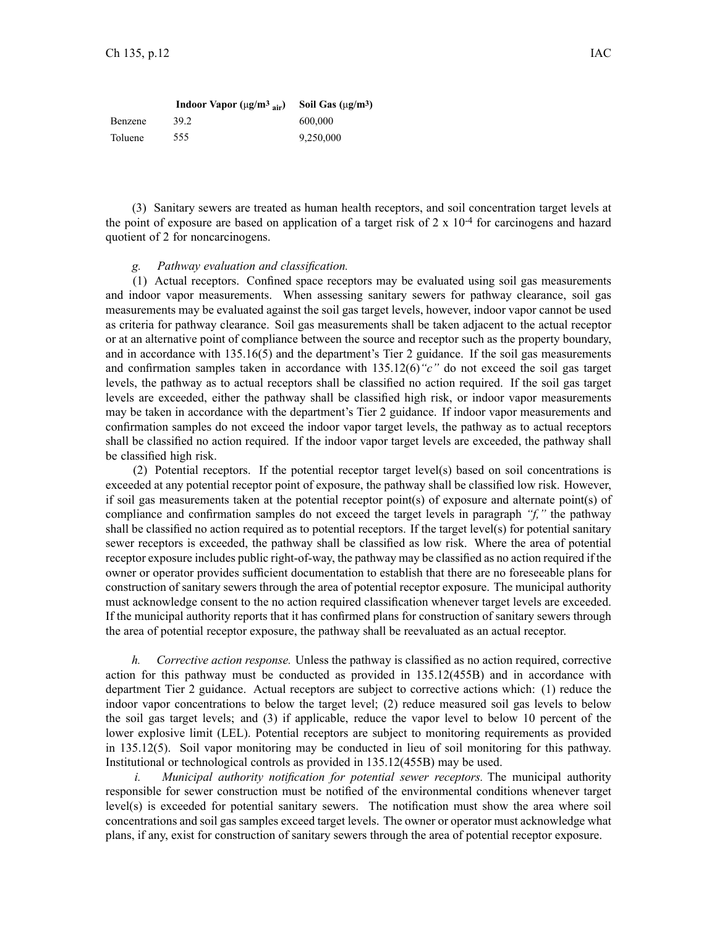|         | Indoor Vapor ( $\mu$ g/m <sup>3</sup> <sub>air</sub> ) | Soil Gas $(\mu g/m^3)$ |
|---------|--------------------------------------------------------|------------------------|
| Benzene | 39.2                                                   | 600,000                |
| Toluene | 555                                                    | 9,250,000              |

(3) Sanitary sewers are treated as human health receptors, and soil concentration target levels at the point of exposure are based on application of <sup>a</sup> target risk of 2 <sup>x</sup> 10-4 for carcinogens and hazard quotient of 2 for noncarcinogens.

# *g. Pathway evaluation and classification.*

(1) Actual receptors. Confined space receptors may be evaluated using soil gas measurements and indoor vapor measurements. When assessing sanitary sewers for pathway clearance, soil gas measurements may be evaluated against the soil gas target levels, however, indoor vapor cannot be used as criteria for pathway clearance. Soil gas measurements shall be taken adjacent to the actual receptor or at an alternative point of compliance between the source and receptor such as the property boundary, and in accordance with 135.16(5) and the department's Tier 2 guidance. If the soil gas measurements and confirmation samples taken in accordance with 135.12(6)*"c"* do not exceed the soil gas target levels, the pathway as to actual receptors shall be classified no action required. If the soil gas target levels are exceeded, either the pathway shall be classified high risk, or indoor vapor measurements may be taken in accordance with the department's Tier 2 guidance. If indoor vapor measurements and confirmation samples do not exceed the indoor vapor target levels, the pathway as to actual receptors shall be classified no action required. If the indoor vapor target levels are exceeded, the pathway shall be classified high risk.

(2) Potential receptors. If the potential receptor target level(s) based on soil concentrations is exceeded at any potential receptor point of exposure, the pathway shall be classified low risk. However, if soil gas measurements taken at the potential receptor point(s) of exposure and alternate point(s) of compliance and confirmation samples do not exceed the target levels in paragraph *"f,"* the pathway shall be classified no action required as to potential receptors. If the target level(s) for potential sanitary sewer receptors is exceeded, the pathway shall be classified as low risk. Where the area of potential receptor exposure includes public right-of-way, the pathway may be classified as no action required if the owner or operator provides sufficient documentation to establish that there are no foreseeable plans for construction of sanitary sewers through the area of potential receptor exposure. The municipal authority must acknowledge consent to the no action required classification whenever target levels are exceeded. If the municipal authority reports that it has confirmed plans for construction of sanitary sewers through the area of potential receptor exposure, the pathway shall be reevaluated as an actual receptor.

*h. Corrective action response.* Unless the pathway is classified as no action required, corrective action for this pathway must be conducted as provided in 135.12(455B) and in accordance with department Tier 2 guidance. Actual receptors are subject to corrective actions which: (1) reduce the indoor vapor concentrations to below the target level; (2) reduce measured soil gas levels to below the soil gas target levels; and (3) if applicable, reduce the vapor level to below 10 percen<sup>t</sup> of the lower explosive limit (LEL). Potential receptors are subject to monitoring requirements as provided in 135.12(5). Soil vapor monitoring may be conducted in lieu of soil monitoring for this pathway. Institutional or technological controls as provided in 135.12(455B) may be used.

*i. Municipal authority notification for potential sewer receptors.* The municipal authority responsible for sewer construction must be notified of the environmental conditions whenever target level(s) is exceeded for potential sanitary sewers. The notification must show the area where soil concentrations and soil gas samples exceed target levels. The owner or operator must acknowledge what plans, if any, exist for construction of sanitary sewers through the area of potential receptor exposure.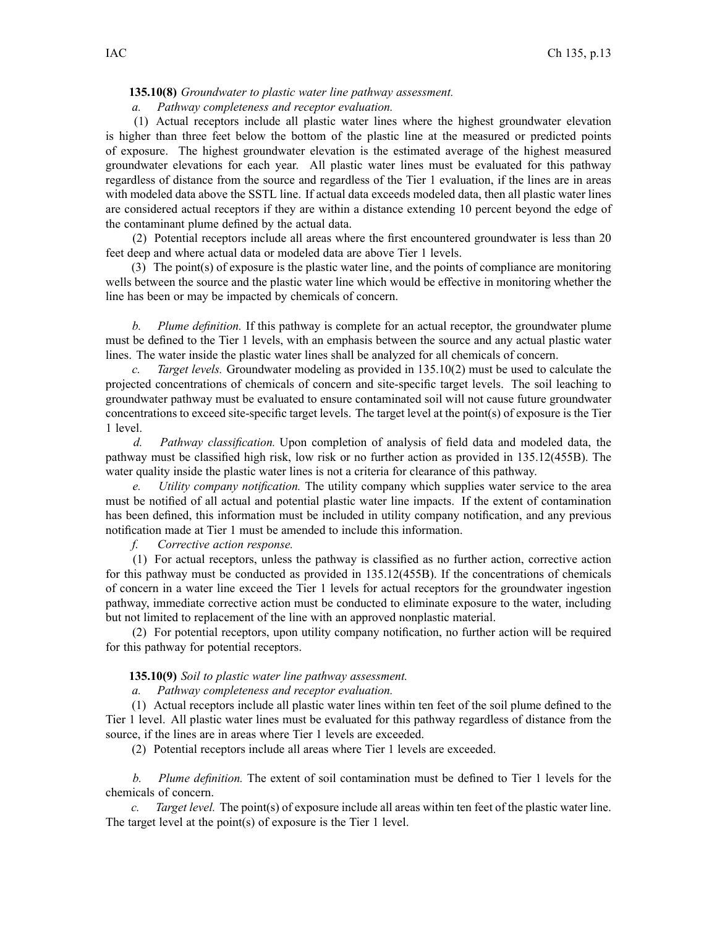### **135.10(8)** *Groundwater to plastic water line pathway assessment.*

*a. Pathway completeness and receptor evaluation.*

(1) Actual receptors include all plastic water lines where the highest groundwater elevation is higher than three feet below the bottom of the plastic line at the measured or predicted points of exposure. The highest groundwater elevation is the estimated average of the highest measured groundwater elevations for each year. All plastic water lines must be evaluated for this pathway regardless of distance from the source and regardless of the Tier 1 evaluation, if the lines are in areas with modeled data above the SSTL line. If actual data exceeds modeled data, then all plastic water lines are considered actual receptors if they are within <sup>a</sup> distance extending 10 percen<sup>t</sup> beyond the edge of the contaminant plume defined by the actual data.

(2) Potential receptors include all areas where the first encountered groundwater is less than 20 feet deep and where actual data or modeled data are above Tier 1 levels.

(3) The point(s) of exposure is the plastic water line, and the points of compliance are monitoring wells between the source and the plastic water line which would be effective in monitoring whether the line has been or may be impacted by chemicals of concern.

*b. Plume definition.* If this pathway is complete for an actual receptor, the groundwater plume must be defined to the Tier 1 levels, with an emphasis between the source and any actual plastic water lines. The water inside the plastic water lines shall be analyzed for all chemicals of concern.

*c. Target levels.* Groundwater modeling as provided in 135.10(2) must be used to calculate the projected concentrations of chemicals of concern and site-specific target levels. The soil leaching to groundwater pathway must be evaluated to ensure contaminated soil will not cause future groundwater concentrations to exceed site-specific target levels. The target level at the point(s) of exposure is the Tier 1 level.

*d. Pathway classification.* Upon completion of analysis of field data and modeled data, the pathway must be classified high risk, low risk or no further action as provided in 135.12(455B). The water quality inside the plastic water lines is not <sup>a</sup> criteria for clearance of this pathway.

*e. Utility company notification.* The utility company which supplies water service to the area must be notified of all actual and potential plastic water line impacts. If the extent of contamination has been defined, this information must be included in utility company notification, and any previous notification made at Tier 1 must be amended to include this information.

# *f. Corrective action response.*

(1) For actual receptors, unless the pathway is classified as no further action, corrective action for this pathway must be conducted as provided in 135.12(455B). If the concentrations of chemicals of concern in <sup>a</sup> water line exceed the Tier 1 levels for actual receptors for the groundwater ingestion pathway, immediate corrective action must be conducted to eliminate exposure to the water, including but not limited to replacement of the line with an approved nonplastic material.

(2) For potential receptors, upon utility company notification, no further action will be required for this pathway for potential receptors.

# **135.10(9)** *Soil to plastic water line pathway assessment.*

*a. Pathway completeness and receptor evaluation.*

(1) Actual receptors include all plastic water lines within ten feet of the soil plume defined to the Tier 1 level. All plastic water lines must be evaluated for this pathway regardless of distance from the source, if the lines are in areas where Tier 1 levels are exceeded.

(2) Potential receptors include all areas where Tier 1 levels are exceeded.

*b. Plume definition.* The extent of soil contamination must be defined to Tier 1 levels for the chemicals of concern.

*c. Target level.* The point(s) of exposure include all areas within ten feet of the plastic water line. The target level at the point(s) of exposure is the Tier 1 level.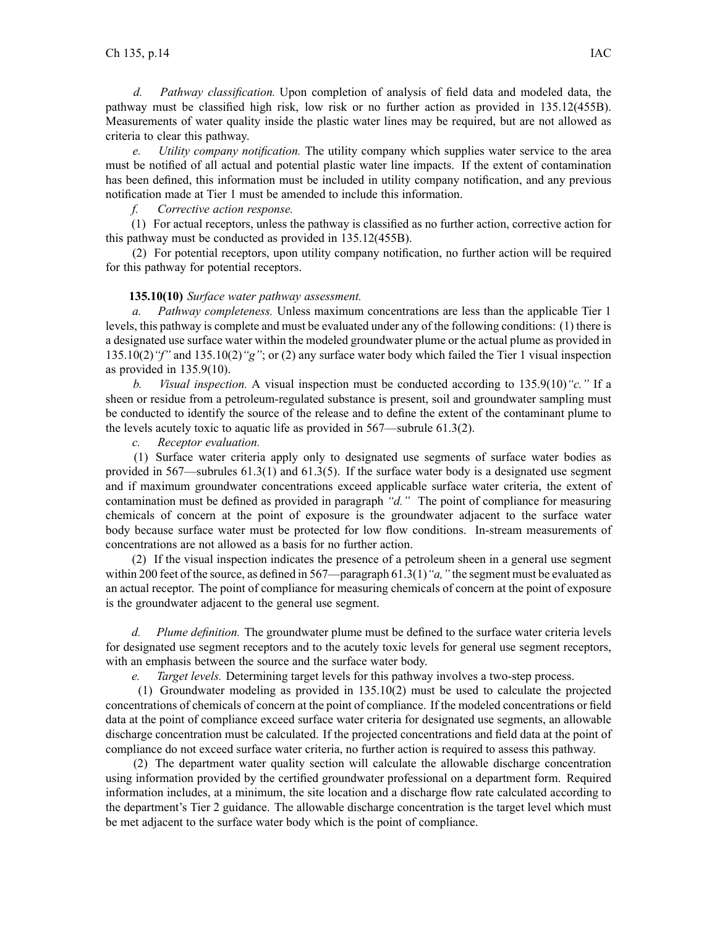*d. Pathway classification.* Upon completion of analysis of field data and modeled data, the pathway must be classified high risk, low risk or no further action as provided in 135.12(455B). Measurements of water quality inside the plastic water lines may be required, but are not allowed as criteria to clear this pathway.

*e. Utility company notification.* The utility company which supplies water service to the area must be notified of all actual and potential plastic water line impacts. If the extent of contamination has been defined, this information must be included in utility company notification, and any previous notification made at Tier 1 must be amended to include this information.

*f. Corrective action response.*

(1) For actual receptors, unless the pathway is classified as no further action, corrective action for this pathway must be conducted as provided in 135.12(455B).

(2) For potential receptors, upon utility company notification, no further action will be required for this pathway for potential receptors.

# **135.10(10)** *Surface water pathway assessment.*

*a. Pathway completeness.* Unless maximum concentrations are less than the applicable Tier 1 levels, this pathway is complete and must be evaluated under any of the following conditions: (1) there is <sup>a</sup> designated use surface water within the modeled groundwater plume or the actual plume as provided in 135.10(2)*"f"* and 135.10(2)*"g"*; or (2) any surface water body which failed the Tier 1 visual inspection as provided in 135.9(10).

*b. Visual inspection.* A visual inspection must be conducted according to 135.9(10)*"c."* If <sup>a</sup> sheen or residue from <sup>a</sup> petroleum-regulated substance is present, soil and groundwater sampling must be conducted to identify the source of the release and to define the extent of the contaminant plume to the levels acutely toxic to aquatic life as provided in 567—subrule 61.3(2).

*c. Receptor evaluation.*

(1) Surface water criteria apply only to designated use segments of surface water bodies as provided in 567—subrules 61.3(1) and 61.3(5). If the surface water body is a designated use segment and if maximum groundwater concentrations exceed applicable surface water criteria, the extent of contamination must be defined as provided in paragraph *"d."* The point of compliance for measuring chemicals of concern at the point of exposure is the groundwater adjacent to the surface water body because surface water must be protected for low flow conditions. In-stream measurements of concentrations are not allowed as <sup>a</sup> basis for no further action.

(2) If the visual inspection indicates the presence of <sup>a</sup> petroleum sheen in <sup>a</sup> general use segmen<sup>t</sup> within 200 feet of the source, as defined in 567—paragraph 61.3(1) "*a*," the segment must be evaluated as an actual receptor. The point of compliance for measuring chemicals of concern at the point of exposure is the groundwater adjacent to the general use segment.

*d. Plume definition.* The groundwater plume must be defined to the surface water criteria levels for designated use segmen<sup>t</sup> receptors and to the acutely toxic levels for general use segmen<sup>t</sup> receptors, with an emphasis between the source and the surface water body.

*e. Target levels.* Determining target levels for this pathway involves <sup>a</sup> two-step process.

(1) Groundwater modeling as provided in 135.10(2) must be used to calculate the projected concentrations of chemicals of concern at the point of compliance. If the modeled concentrations or field data at the point of compliance exceed surface water criteria for designated use segments, an allowable discharge concentration must be calculated. If the projected concentrations and field data at the point of compliance do not exceed surface water criteria, no further action is required to assess this pathway.

(2) The department water quality section will calculate the allowable discharge concentration using information provided by the certified groundwater professional on <sup>a</sup> department form. Required information includes, at <sup>a</sup> minimum, the site location and <sup>a</sup> discharge flow rate calculated according to the department's Tier 2 guidance. The allowable discharge concentration is the target level which must be met adjacent to the surface water body which is the point of compliance.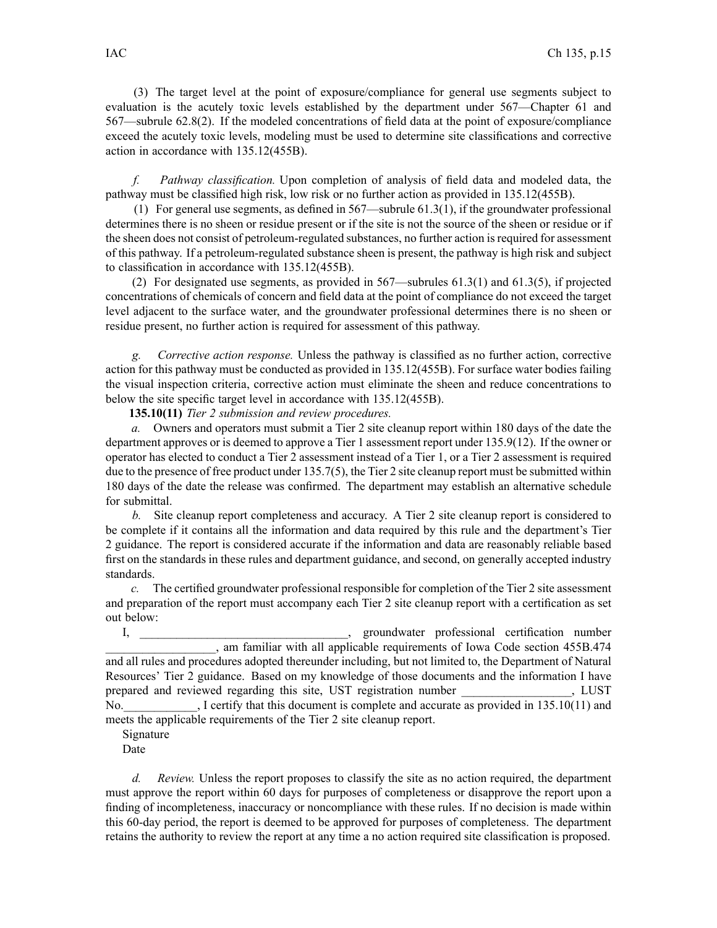(3) The target level at the point of exposure/compliance for general use segments subject to evaluation is the acutely toxic levels established by the department under 567—Chapter 61 and 567—subrule 62.8(2). If the modeled concentrations of field data at the point of exposure/compliance exceed the acutely toxic levels, modeling must be used to determine site classifications and corrective action in accordance with 135.12(455B).

*f. Pathway classification.* Upon completion of analysis of field data and modeled data, the pathway must be classified high risk, low risk or no further action as provided in 135.12(455B).

(1) For general use segments, as defined in 567—subrule 61.3(1), if the groundwater professional determines there is no sheen or residue presen<sup>t</sup> or if the site is not the source of the sheen or residue or if the sheen does not consist of petroleum-regulated substances, no further action isrequired for assessment of this pathway. If <sup>a</sup> petroleum-regulated substance sheen is present, the pathway is high risk and subject to classification in accordance with 135.12(455B).

(2) For designated use segments, as provided in  $567$ —subrules  $61.3(1)$  and  $61.3(5)$ , if projected concentrations of chemicals of concern and field data at the point of compliance do not exceed the target level adjacent to the surface water, and the groundwater professional determines there is no sheen or residue present, no further action is required for assessment of this pathway.

*g. Corrective action response.* Unless the pathway is classified as no further action, corrective action for this pathway must be conducted as provided in 135.12(455B). For surface water bodies failing the visual inspection criteria, corrective action must eliminate the sheen and reduce concentrations to below the site specific target level in accordance with 135.12(455B).

**135.10(11)** *Tier 2 submission and review procedures.*

*a.* Owners and operators must submit <sup>a</sup> Tier 2 site cleanup repor<sup>t</sup> within 180 days of the date the department approves or is deemed to approve <sup>a</sup> Tier 1 assessment repor<sup>t</sup> under 135.9(12). If the owner or operator has elected to conduct <sup>a</sup> Tier 2 assessment instead of <sup>a</sup> Tier 1, or <sup>a</sup> Tier 2 assessment is required due to the presence of free product under 135.7(5), the Tier 2 site cleanup repor<sup>t</sup> must be submitted within 180 days of the date the release was confirmed. The department may establish an alternative schedule for submittal.

*b.* Site cleanup repor<sup>t</sup> completeness and accuracy. A Tier 2 site cleanup repor<sup>t</sup> is considered to be complete if it contains all the information and data required by this rule and the department's Tier 2 guidance. The repor<sup>t</sup> is considered accurate if the information and data are reasonably reliable based first on the standards in these rules and department guidance, and second, on generally accepted industry standards.

*c.* The certified groundwater professional responsible for completion of the Tier 2 site assessment and preparation of the repor<sup>t</sup> must accompany each Tier 2 site cleanup repor<sup>t</sup> with <sup>a</sup> certification as set out below:

I, \_\_\_\_\_\_\_\_\_\_\_\_\_\_\_\_\_\_\_\_\_\_\_\_\_\_\_\_\_\_\_\_\_\_, groundwater professional certification number \_\_\_\_\_\_\_\_\_\_\_\_\_\_\_\_\_\_, am familiar with all applicable requirements of Iowa Code section 455B.474 and all rules and procedures adopted thereunder including, but not limited to, the Department of Natural Resources' Tier 2 guidance. Based on my knowledge of those documents and the information I have prepared and reviewed regarding this site, UST registration number  $\qquad \qquad$ , LUST No.  $\qquad \qquad$  I certify that this document is complete and accurate as provided in 135.10(11) and meets the applicable requirements of the Tier 2 site cleanup report.

Signature

Date

*d. Review.* Unless the repor<sup>t</sup> proposes to classify the site as no action required, the department must approve the repor<sup>t</sup> within 60 days for purposes of completeness or disapprove the repor<sup>t</sup> upon <sup>a</sup> finding of incompleteness, inaccuracy or noncompliance with these rules. If no decision is made within this 60-day period, the repor<sup>t</sup> is deemed to be approved for purposes of completeness. The department retains the authority to review the repor<sup>t</sup> at any time <sup>a</sup> no action required site classification is proposed.